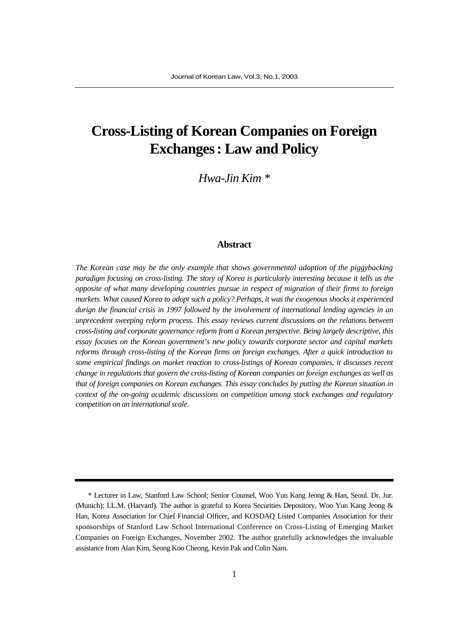# **Cross-Listing of Korean Companies on Foreign Exchanges: Law and Policy**

*Hwa-Jin Kim \**

#### **Abstract**

*The Korean case may be the only example that shows governmental adoption of the piggybacking paradigm focusing on cross-listing. The story of Korea is particularly interesting because it tells us the opposite of what many developing countries pursue in respect of migration of their firms to foreign markets. What caused Korea to adopt such a policy? Perhaps, it was the exogenous shocks it experienced durign the financial crisis in 1997 followed by the involvement of international lending agencies in an unprecedent sweeping reform process. This essay reviews current discussions on the relations between cross-listing and corporate governance reform from a Korean perspective. Being largely descriptive, this essay focuses on the Korean government's new policy towards corporate sector and capital markets reforms through cross-listing of the Korean firms on foreign exchanges. After a quick introduction to some empirical findings on market reaction to cross-listings of Korean companies, it discusses recent change in regulations that govern the cross-listing of Korean companies on foreign exchanges as well as that of foreign companies on Korean exchanges. This essay concludes by putting the Korean situation in context of the on-going academic discussions on competition among stock exchanges and regulatory competition on an international scale.*

<sup>\*</sup> Lecturer in Law, Stanford Law School; Senior Counsel, Woo Yun Kang Jeong & Han, Seoul. Dr. Jur. (Munich); LL.M. (Harvard). The author is grateful to Korea Securities Depository, Woo Yun Kang Jeong & Han, Korea Association for Chief Financial Officer, and KOSDAQ Listed Companies Association for their sponsorships of Stanford Law School International Conference on Cross-Listing of Emerging Market Companies on Foreign Exchanges, November 2002. The author gratefully acknowledges the invaluable assistance from Alan Kim, Seong Koo Cheong, Kevin Pak and Colin Nam.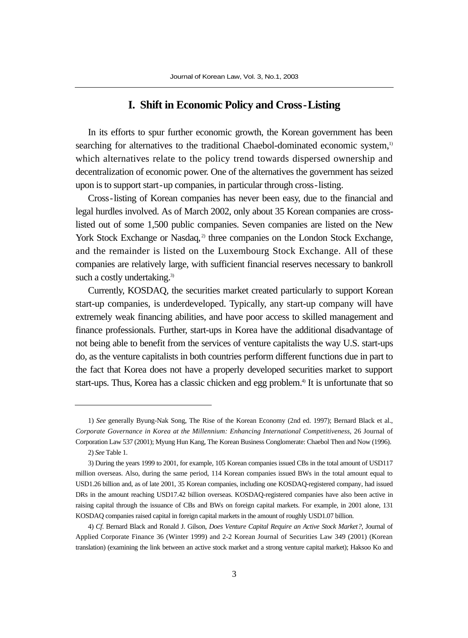#### **I. Shift in Economic Policy and Cross-Listing**

In its efforts to spur further economic growth, the Korean government has been searching for alternatives to the traditional Chaebol-dominated economic system,<sup>1)</sup> which alternatives relate to the policy trend towards dispersed ownership and decentralization of economic power. One of the alternatives the government has seized upon is to support start-up companies, in particular through cross-listing.

Cross-listing of Korean companies has never been easy, due to the financial and legal hurdles involved. As of March 2002, only about 35 Korean companies are crosslisted out of some 1,500 public companies. Seven companies are listed on the New York Stock Exchange or Nasdaq,<sup>2)</sup> three companies on the London Stock Exchange, and the remainder is listed on the Luxembourg Stock Exchange. All of these companies are relatively large, with sufficient financial reserves necessary to bankroll such a costly undertaking.<sup>3)</sup>

Currently, KOSDAQ, the securities market created particularly to support Korean start-up companies, is underdeveloped. Typically, any start-up company will have extremely weak financing abilities, and have poor access to skilled management and finance professionals. Further, start-ups in Korea have the additional disadvantage of not being able to benefit from the services of venture capitalists the way U.S. start-ups do, as the venture capitalists in both countries perform different functions due in part to the fact that Korea does not have a properly developed securities market to support start-ups. Thus, Korea has a classic chicken and egg problem.<sup>4)</sup> It is unfortunate that so

<sup>1)</sup> *See* generally Byung-Nak Song, The Rise of the Korean Economy (2nd ed. 1997); Bernard Black et al., *Corporate Governance in Korea at the Millennium: Enhancing International Competitiveness*, 26 Journal of Corporation Law 537 (2001); Myung Hun Kang, The Korean Business Conglomerate: Chaebol Then and Now (1996). 2) *See* Table 1.

<sup>3)</sup> During the years 1999 to 2001, for example, 105 Korean companies issued CBs in the total amount of USD117 million overseas. Also, during the same period, 114 Korean companies issued BWs in the total amount equal to USD1.26 billion and, as of late 2001, 35 Korean companies, including one KOSDAQ-registered company, had issued DRs in the amount reaching USD17.42 billion overseas. KOSDAQ-registered companies have also been active in raising capital through the issuance of CBs and BWs on foreign capital markets. For example, in 2001 alone, 131

KOSDAQ companies raised capital in foreign capital markets in the amount of roughly USD1.07 billion.

<sup>4)</sup> *Cf*. Bernard Black and Ronald J. Gilson, *Does Venture Capital Require an Active Stock Market?*, Journal of Applied Corporate Finance 36 (Winter 1999) and 2-2 Korean Journal of Securities Law 349 (2001) (Korean translation) (examining the link between an active stock market and a strong venture capital market); Haksoo Ko and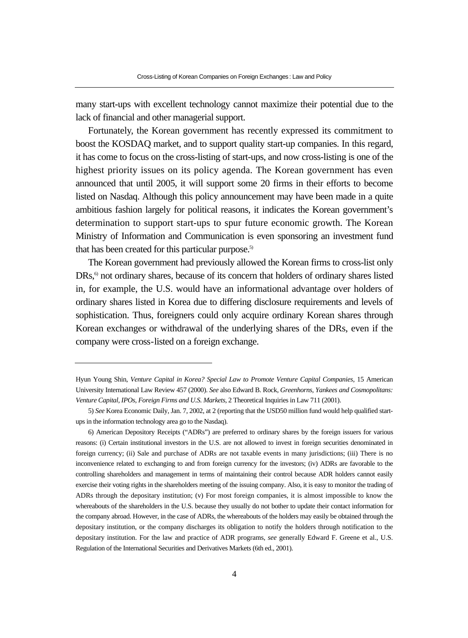many start-ups with excellent technology cannot maximize their potential due to the lack of financial and other managerial support.

Fortunately, the Korean government has recently expressed its commitment to boost the KOSDAQ market, and to support quality start-up companies. In this regard, it has come to focus on the cross-listing of start-ups, and now cross-listing is one of the highest priority issues on its policy agenda. The Korean government has even announced that until 2005, it will support some 20 firms in their efforts to become listed on Nasdaq. Although this policy announcement may have been made in a quite ambitious fashion largely for political reasons, it indicates the Korean government's determination to support start-ups to spur future economic growth. The Korean Ministry of Information and Communication is even sponsoring an investment fund that has been created for this particular purpose.<sup>5)</sup>

The Korean government had previously allowed the Korean firms to cross-list only DRs,<sup>6</sup> not ordinary shares, because of its concern that holders of ordinary shares listed in, for example, the U.S. would have an informational advantage over holders of ordinary shares listed in Korea due to differing disclosure requirements and levels of sophistication. Thus, foreigners could only acquire ordinary Korean shares through Korean exchanges or withdrawal of the underlying shares of the DRs, even if the company were cross-listed on a foreign exchange.

Hyun Young Shin, *Venture Capital in Korea? Special Law to Promote Venture Capital Companies*, 15 American University International Law Review 457 (2000). *See* also Edward B. Rock, *Greenhorns, Yankees and Cosmopolitans: Venture Capital, IPOs, Foreign Firms and U.S. Markets*, 2 Theoretical Inquiries in Law 711 (2001).

<sup>5)</sup> *See* Korea Economic Daily, Jan. 7, 2002, at 2 (reporting that the USD50 million fund would help qualified startups in the information technology area go to the Nasdaq).

<sup>6)</sup> American Depository Receipts ("ADRs") are preferred to ordinary shares by the foreign issuers for various reasons: (i) Certain institutional investors in the U.S. are not allowed to invest in foreign securities denominated in foreign currency; (ii) Sale and purchase of ADRs are not taxable events in many jurisdictions; (iii) There is no inconvenience related to exchanging to and from foreign currency for the investors; (iv) ADRs are favorable to the controlling shareholders and management in terms of maintaining their control because ADR holders cannot easily exercise their voting rights in the shareholders meeting of the issuing company. Also, it is easy to monitor the trading of ADRs through the depositary institution; (v) For most foreign companies, it is almost impossible to know the whereabouts of the shareholders in the U.S. because they usually do not bother to update their contact information for the company abroad. However, in the case of ADRs, the whereabouts of the holders may easily be obtained through the depositary institution, or the company discharges its obligation to notify the holders through notification to the depositary institution. For the law and practice of ADR programs, *see* generally Edward F. Greene et al., U.S. Regulation of the International Securities and Derivatives Markets (6th ed., 2001).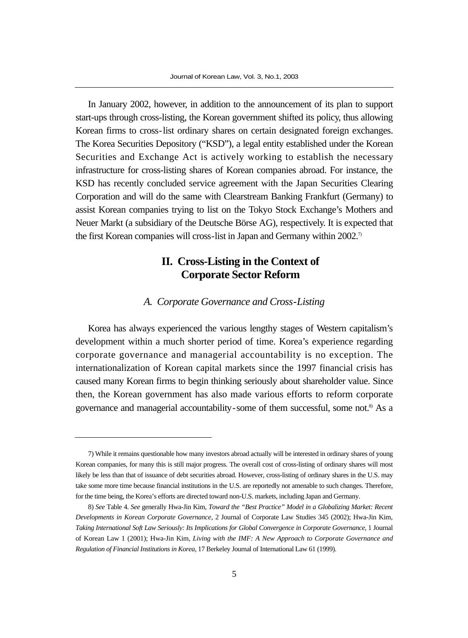In January 2002, however, in addition to the announcement of its plan to support start-ups through cross-listing, the Korean government shifted its policy, thus allowing Korean firms to cross-list ordinary shares on certain designated foreign exchanges. The Korea Securities Depository ("KSD"), a legal entity established under the Korean Securities and Exchange Act is actively working to establish the necessary infrastructure for cross-listing shares of Korean companies abroad. For instance, the KSD has recently concluded service agreement with the Japan Securities Clearing Corporation and will do the same with Clearstream Banking Frankfurt (Germany) to assist Korean companies trying to list on the Tokyo Stock Exchange's Mothers and Neuer Markt (a subsidiary of the Deutsche Börse AG), respectively. It is expected that the first Korean companies will cross-list in Japan and Germany within 2002.<sup>7</sup>

# **II. Cross-Listing in the Context of Corporate Sector Reform**

#### *A. Corporate Governance and Cross-Listing*

Korea has always experienced the various lengthy stages of Western capitalism's development within a much shorter period of time. Korea's experience regarding corporate governance and managerial accountability is no exception. The internationalization of Korean capital markets since the 1997 financial crisis has caused many Korean firms to begin thinking seriously about shareholder value. Since then, the Korean government has also made various efforts to reform corporate governance and managerial accountability-some of them successful, some not.<sup>8)</sup> As a

<sup>7)</sup> While it remains questionable how many investors abroad actually will be interested in ordinary shares of young Korean companies, for many this is still major progress. The overall cost of cross-listing of ordinary shares will most likely be less than that of issuance of debt securities abroad. However, cross-listing of ordinary shares in the U.S. may take some more time because financial institutions in the U.S. are reportedly not amenable to such changes. Therefore, for the time being, the Korea's efforts are directed toward non-U.S. markets, including Japan and Germany.

<sup>8)</sup> *See* Table 4. *See* generally Hwa-Jin Kim, *Toward the "Best Practice" Model in a Globalizing Market: Recent Developments in Korean Corporate Governance*, 2 Journal of Corporate Law Studies 345 (2002); Hwa-Jin Kim, *Taking International Soft Law Seriously: Its Implications for Global Convergence in Corporate Governance*, 1 Journal of Korean Law 1 (2001); Hwa-Jin Kim, *Living with the IMF: A New Approach to Corporate Governance and Regulation of Financial Institutions in Korea*, 17 Berkeley Journal of International Law 61 (1999).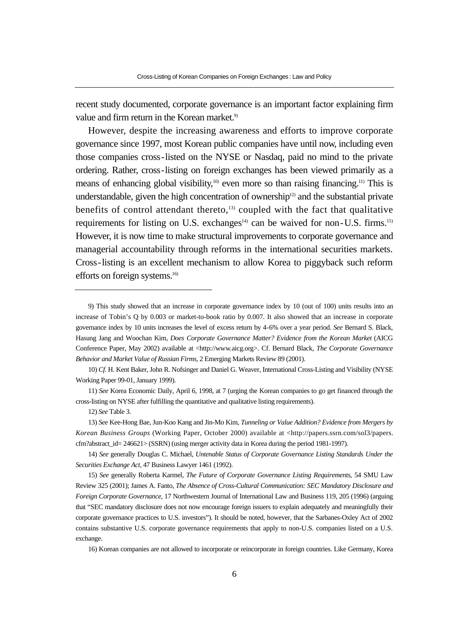recent study documented, corporate governance is an important factor explaining firm value and firm return in the Korean market.<sup>9)</sup>

However, despite the increasing awareness and efforts to improve corporate governance since 1997, most Korean public companies have until now, including even those companies cross-listed on the NYSE or Nasdaq, paid no mind to the private ordering. Rather, cross-listing on foreign exchanges has been viewed primarily as a means of enhancing global visibility,<sup>10)</sup> even more so than raising financing.<sup>11)</sup> This is understandable, given the high concentration of ownership<sup>12)</sup> and the substantial private benefits of control attendant thereto, $13$ ) coupled with the fact that qualitative requirements for listing on U.S. exchanges<sup>14)</sup> can be waived for non-U.S. firms.<sup>15)</sup> However, it is now time to make structural improvements to corporate governance and managerial accountability through reforms in the international securities markets. Cross-listing is an excellent mechanism to allow Korea to piggyback such reform efforts on foreign systems.<sup>16)</sup>

10) *Cf*. H. Kent Baker, John R. Nofsinger and Daniel G. Weaver, International Cross-Listing and Visibility (NYSE Working Paper 99-01, January 1999).

11) *See* Korea Economic Daily, April 6, 1998, at 7 (urging the Korean companies to go get financed through the cross-listing on NYSE after fulfilling the quantitative and qualitative listing requirements).

13) *See* Kee-Hong Bae, Jun-Koo Kang and Jin-Mo Kim, *Tunneling or Value Addition? Evidence from Mergers by Korean Business Groups* (Working Paper, October 2000) available at <http://papers.ssrn.com/sol3/papers. cfm?abstract\_id= 246621> (SSRN) (using merger activity data in Korea during the period 1981-1997).

14) *See* generally Douglas C. Michael, *Untenable Status of Corporate Governance Listing Standards Under the Securities Exchange Act*, 47 Business Lawyer 1461 (1992).

15) *See* generally Roberta Karmel, *The Future of Corporate Governance Listing Requirements*, 54 SMU Law Review 325 (2001); James A. Fanto, *The Absence of Cross-Cultural Communication: SEC Mandatory Disclosure and Foreign Corporate Governance*, 17 Northwestern Journal of International Law and Business 119, 205 (1996) (arguing that "SEC mandatory disclosure does not now encourage foreign issuers to explain adequately and meaningfully their corporate governance practices to U.S. investors"). It should be noted, however, that the Sarbanes-Oxley Act of 2002 contains substantive U.S. corporate governance requirements that apply to non-U.S. companies listed on a U.S. exchange.

16) Korean companies are not allowed to incorporate or reincorporate in foreign countries. Like Germany, Korea

<sup>9)</sup> This study showed that an increase in corporate governance index by 10 (out of 100) units results into an increase of Tobin's Q by 0.003 or market-to-book ratio by 0.007. It also showed that an increase in corporate governance index by 10 units increases the level of excess return by 4-6% over a year period. *See* Bernard S. Black, Hasung Jang and Woochan Kim, *Does Corporate Governance Matter? Evidence from the Korean Market* (AICG Conference Paper, May 2002) available at <http://www.aicg.org>. Cf. Bernard Black, *The Corporate Governance Behavior and Market Value of Russian Firms*, 2 Emerging Markets Review 89 (2001).

<sup>12)</sup> *See* Table 3.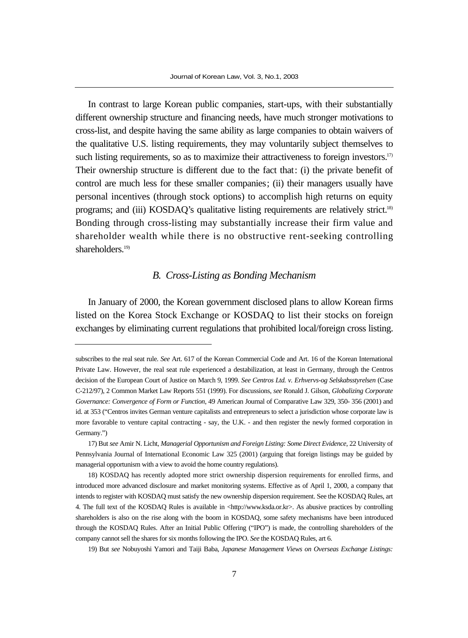In contrast to large Korean public companies, start-ups, with their substantially different ownership structure and financing needs, have much stronger motivations to cross-list, and despite having the same ability as large companies to obtain waivers of the qualitative U.S. listing requirements, they may voluntarily subject themselves to such listing requirements, so as to maximize their attractiveness to foreign investors.<sup>17)</sup> Their ownership structure is different due to the fact that: (i) the private benefit of control are much less for these smaller companies; (ii) their managers usually have personal incentives (through stock options) to accomplish high returns on equity programs; and (iii) KOSDAQ's qualitative listing requirements are relatively strict.18) Bonding through cross-listing may substantially increase their firm value and shareholder wealth while there is no obstructive rent-seeking controlling shareholders.<sup>19)</sup>

#### *B. Cross-Listing as Bonding Mechanism*

In January of 2000, the Korean government disclosed plans to allow Korean firms listed on the Korea Stock Exchange or KOSDAQ to list their stocks on foreign exchanges by eliminating current regulations that prohibited local/foreign cross listing.

subscribes to the real seat rule. *See* Art. 617 of the Korean Commercial Code and Art. 16 of the Korean International Private Law. However, the real seat rule experienced a destabilization, at least in Germany, through the Centros decision of the European Court of Justice on March 9, 1999. *See Centros Ltd. v. Erhvervs-og Selskabsstyrelsen* (Case C-212/97), 2 Common Market Law Reports 551 (1999). For discussions, *see* Ronald J. Gilson, *Globalizing Corporate Governance: Convergence of Form or Function*, 49 American Journal of Comparative Law 329, 350- 356 (2001) and id. at 353 ("Centros invites German venture capitalists and entrepreneurs to select a jurisdiction whose corporate law is more favorable to venture capital contracting - say, the U.K. - and then register the newly formed corporation in Germany.")

<sup>17)</sup> But *see* Amir N. Licht, *Managerial Opportunism and Foreign Listing: Some Direct Evidence*, 22 University of Pennsylvania Journal of International Economic Law 325 (2001) (arguing that foreign listings may be guided by managerial opportunism with a view to avoid the home country regulations).

<sup>18)</sup> KOSDAQ has recently adopted more strict ownership dispersion requirements for enrolled firms, and introduced more advanced disclosure and market monitoring systems. Effective as of April 1, 2000, a company that intends to register with KOSDAQ must satisfy the new ownership dispersion requirement. See the KOSDAQ Rules, art 4. The full text of the KOSDAQ Rules is available in <http://www.ksda.or.kr>. As abusive practices by controlling shareholders is also on the rise along with the boom in KOSDAQ, some safety mechanisms have been introduced through the KOSDAQ Rules. After an Initial Public Offering ("IPO") is made, the controlling shareholders of the company cannot sell the shares for six months following the IPO. *See* the KOSDAQ Rules, art 6.

<sup>19)</sup> But *see* Nobuyoshi Yamori and Taiji Baba, *Japanese Management Views on Overseas Exchange Listings:*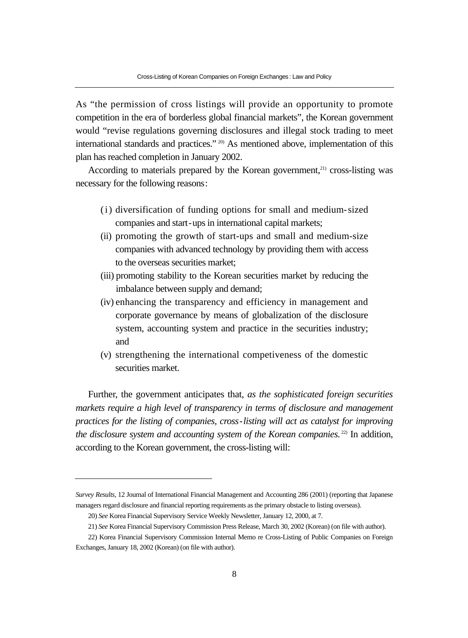As "the permission of cross listings will provide an opportunity to promote competition in the era of borderless global financial markets", the Korean government would "revise regulations governing disclosures and illegal stock trading to meet international standards and practices." 20) As mentioned above, implementation of this plan has reached completion in January 2002.

According to materials prepared by the Korean government, $21$ ) cross-listing was necessary for the following reasons:

- (i) diversification of funding options for small and medium-sized companies and start-ups in international capital markets;
- (ii) promoting the growth of start-ups and small and medium-size companies with advanced technology by providing them with access to the overseas securities market;
- (iii) promoting stability to the Korean securities market by reducing the imbalance between supply and demand;
- (iv) enhancing the transparency and efficiency in management and corporate governance by means of globalization of the disclosure system, accounting system and practice in the securities industry; and
- (v) strengthening the international competiveness of the domestic securities market.

Further, the government anticipates that, *as the sophisticated foreign securities markets require a high level of transparency in terms of disclosure and management practices for the listing of companies, cross-listing will act as catalyst for improving the disclosure system and accounting system of the Korean companies.*<sup>22)</sup> In addition, according to the Korean government, the cross-listing will:

*Survey Results*, 12 Journal of International Financial Management and Accounting 286 (2001) (reporting that Japanese managers regard disclosure and financial reporting requirements as the primary obstacle to listing overseas).

<sup>20)</sup> *See* Korea Financial Supervisory Service Weekly Newsletter, January 12, 2000, at 7.

<sup>21)</sup> *See* Korea Financial Supervisory Commission Press Release, March 30, 2002 (Korean) (on file with author).

<sup>22)</sup> Korea Financial Supervisory Commission Internal Memo re Cross-Listing of Public Companies on Foreign Exchanges, January 18, 2002 (Korean) (on file with author).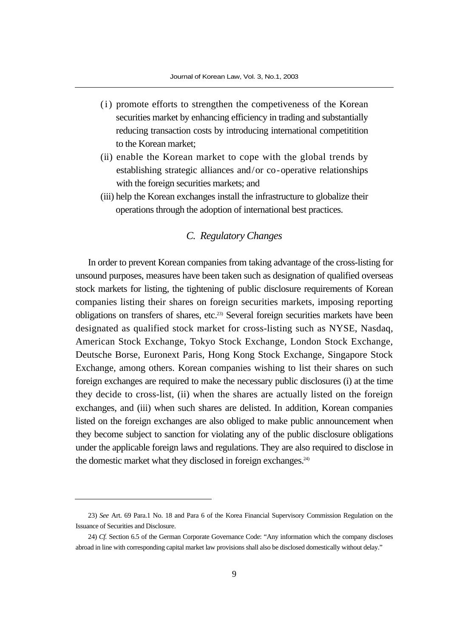- (i) promote efforts to strengthen the competiveness of the Korean securities market by enhancing efficiency in trading and substantially reducing transaction costs by introducing international competitition to the Korean market;
- (ii) enable the Korean market to cope with the global trends by establishing strategic alliances and/or co-operative relationships with the foreign securities markets; and
- (iii) help the Korean exchanges install the infrastructure to globalize their operations through the adoption of international best practices.

#### *C. Regulatory Changes*

In order to prevent Korean companies from taking advantage of the cross-listing for unsound purposes, measures have been taken such as designation of qualified overseas stock markets for listing, the tightening of public disclosure requirements of Korean companies listing their shares on foreign securities markets, imposing reporting obligations on transfers of shares, etc.23) Several foreign securities markets have been designated as qualified stock market for cross-listing such as NYSE, Nasdaq, American Stock Exchange, Tokyo Stock Exchange, London Stock Exchange, Deutsche Borse, Euronext Paris, Hong Kong Stock Exchange, Singapore Stock Exchange, among others. Korean companies wishing to list their shares on such foreign exchanges are required to make the necessary public disclosures (i) at the time they decide to cross-list, (ii) when the shares are actually listed on the foreign exchanges, and (iii) when such shares are delisted. In addition, Korean companies listed on the foreign exchanges are also obliged to make public announcement when they become subject to sanction for violating any of the public disclosure obligations under the applicable foreign laws and regulations. They are also required to disclose in the domestic market what they disclosed in foreign exchanges. $24$ )

<sup>23)</sup> *See* Art. 69 Para.1 No. 18 and Para 6 of the Korea Financial Supervisory Commission Regulation on the Issuance of Securities and Disclosure.

<sup>24)</sup> *Cf.* Section 6.5 of the German Corporate Governance Code: "Any information which the company discloses abroad in line with corresponding capital market law provisions shall also be disclosed domestically without delay."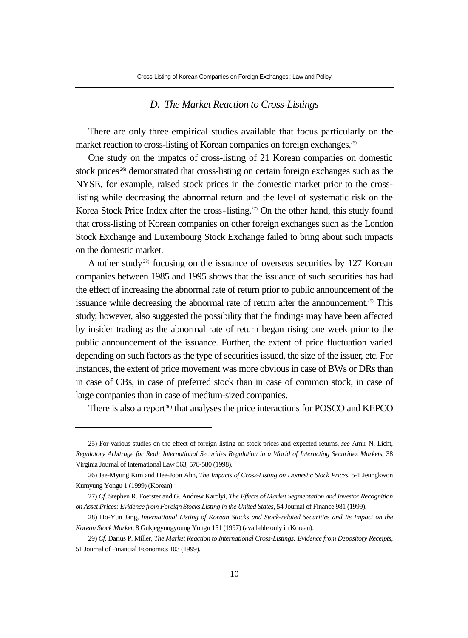#### *D. The Market Reaction to Cross-Listings*

There are only three empirical studies available that focus particularly on the market reaction to cross-listing of Korean companies on foreign exchanges.<sup>25)</sup>

One study on the impatcs of cross-listing of 21 Korean companies on domestic stock prices<sup>26)</sup> demonstrated that cross-listing on certain foreign exchanges such as the NYSE, for example, raised stock prices in the domestic market prior to the crosslisting while decreasing the abnormal return and the level of systematic risk on the Korea Stock Price Index after the cross-listing.<sup>27)</sup> On the other hand, this study found that cross-listing of Korean companies on other foreign exchanges such as the London Stock Exchange and Luxembourg Stock Exchange failed to bring about such impacts on the domestic market.

Another study<sup>28)</sup> focusing on the issuance of overseas securities by  $127$  Korean companies between 1985 and 1995 shows that the issuance of such securities has had the effect of increasing the abnormal rate of return prior to public announcement of the issuance while decreasing the abnormal rate of return after the announcement.<sup>29)</sup> This study, however, also suggested the possibility that the findings may have been affected by insider trading as the abnormal rate of return began rising one week prior to the public announcement of the issuance. Further, the extent of price fluctuation varied depending on such factors as the type of securities issued, the size of the issuer, etc. For instances, the extent of price movement was more obvious in case of BWs or DRs than in case of CBs, in case of preferred stock than in case of common stock, in case of large companies than in case of medium-sized companies.

There is also a report<sup>30)</sup> that analyses the price interactions for POSCO and KEPCO

<sup>25)</sup> For various studies on the effect of foreign listing on stock prices and expected returns, *see* Amir N. Licht, *Regulatory Arbitrage for Real: International Securities Regulation in a World of Interacting Securities Markets*, 38 Virginia Journal of International Law 563, 578-580 (1998).

<sup>26)</sup> Jae-Myung Kim and Hee-Joon Ahn, *The Impacts of Cross-Listing on Domestic Stock Prices*, 5-1 Jeungkwon Kumyung Yongu 1 (1999) (Korean).

<sup>27)</sup> *Cf*. Stephen R. Foerster and G. Andrew Karolyi, *The Effects of Market Segmentation and Investor Recognition on Asset Prices: Evidence from Foreign Stocks Listing in the United States*, 54 Journal of Finance 981 (1999).

<sup>28)</sup> Ho-Yun Jang, *International Listing of Korean Stocks and Stock-related Securities and Its Impact on the Korean Stock Market*, 8 Gukjegyungyoung Yongu 151 (1997) (available only in Korean).

<sup>29)</sup> *Cf*. Darius P. Miller, *The Market Reaction to International Cross-Listings: Evidence from Depository Receipts*, 51 Journal of Financial Economics 103 (1999).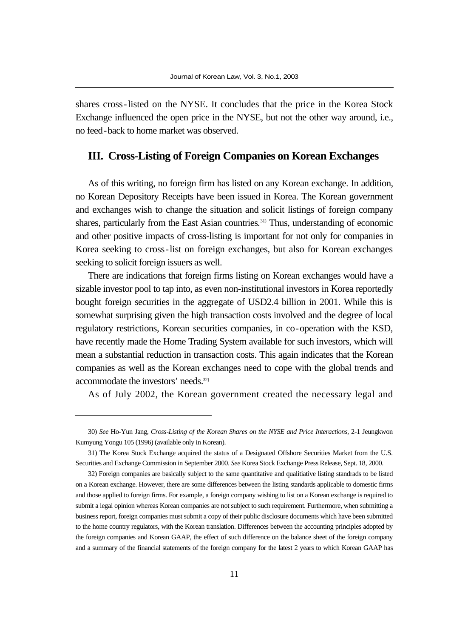shares cross-listed on the NYSE. It concludes that the price in the Korea Stock Exchange influenced the open price in the NYSE, but not the other way around, i.e., no feed-back to home market was observed.

#### **III. Cross-Listing of Foreign Companies on Korean Exchanges**

As of this writing, no foreign firm has listed on any Korean exchange. In addition, no Korean Depository Receipts have been issued in Korea. The Korean government and exchanges wish to change the situation and solicit listings of foreign company shares, particularly from the East Asian countries.<sup>31)</sup> Thus, understanding of economic and other positive impacts of cross-listing is important for not only for companies in Korea seeking to cross-list on foreign exchanges, but also for Korean exchanges seeking to solicit foreign issuers as well.

There are indications that foreign firms listing on Korean exchanges would have a sizable investor pool to tap into, as even non-institutional investors in Korea reportedly bought foreign securities in the aggregate of USD2.4 billion in 2001. While this is somewhat surprising given the high transaction costs involved and the degree of local regulatory restrictions, Korean securities companies, in co-operation with the KSD, have recently made the Home Trading System available for such investors, which will mean a substantial reduction in transaction costs. This again indicates that the Korean companies as well as the Korean exchanges need to cope with the global trends and accommodate the investors' needs.32)

As of July 2002, the Korean government created the necessary legal and

<sup>30)</sup> *See* Ho-Yun Jang, *Cross-Listing of the Korean Shares on the NYSE and Price Interactions*, 2-1 Jeungkwon Kumyung Yongu 105 (1996) (available only in Korean).

<sup>31)</sup> The Korea Stock Exchange acquired the status of a Designated Offshore Securities Market from the U.S. Securities and Exchange Commission in September 2000. *See* Korea Stock Exchange Press Release, Sept. 18, 2000.

<sup>32)</sup> Foreign companies are basically subject to the same quantitative and qualitiative listing standrads to be listed on a Korean exchange. However, there are some differences between the listing standards applicable to domestic firms and those applied to foreign firms. For example, a foreign company wishing to list on a Korean exchange is required to submit a legal opinion whereas Korean companies are not subject to such requirement. Furthermore, when submitting a business report, foreign companies must submit a copy of their public disclosure documents which have been submitted to the home country regulators, with the Korean translation. Differences between the accounting principles adopted by the foreign companies and Korean GAAP, the effect of such difference on the balance sheet of the foreign company and a summary of the financial statements of the foreign company for the latest 2 years to which Korean GAAP has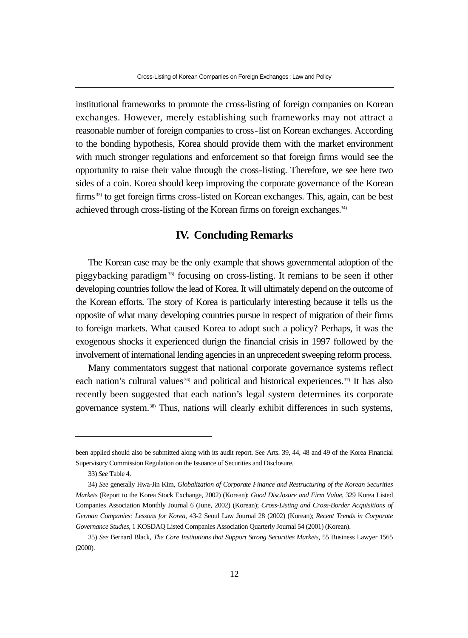institutional frameworks to promote the cross-listing of foreign companies on Korean exchanges. However, merely establishing such frameworks may not attract a reasonable number of foreign companies to cross-list on Korean exchanges. According to the bonding hypothesis, Korea should provide them with the market environment with much stronger regulations and enforcement so that foreign firms would see the opportunity to raise their value through the cross-listing. Therefore, we see here two sides of a coin. Korea should keep improving the corporate governance of the Korean firms<sup>33)</sup> to get foreign firms cross-listed on Korean exchanges. This, again, can be best achieved through cross-listing of the Korean firms on foreign exchanges.<sup>34)</sup>

#### **IV. Concluding Remarks**

The Korean case may be the only example that shows governmental adoption of the piggybacking paradigm35) focusing on cross-listing. It remians to be seen if other developing countries follow the lead of Korea. It will ultimately depend on the outcome of the Korean efforts. The story of Korea is particularly interesting because it tells us the opposite of what many developing countries pursue in respect of migration of their firms to foreign markets. What caused Korea to adopt such a policy? Perhaps, it was the exogenous shocks it experienced durign the financial crisis in 1997 followed by the involvement of international lending agencies in an unprecedent sweeping reform process.

Many commentators suggest that national corporate governance systems reflect each nation's cultural values 36) and political and historical experiences.<sup>37)</sup> It has also recently been suggested that each nation's legal system determines its corporate governance system.38) Thus, nations will clearly exhibit differences in such systems,

been applied should also be submitted along with its audit report. See Arts. 39, 44, 48 and 49 of the Korea Financial Supervisory Commission Regulation on the Issuance of Securities and Disclosure.

<sup>33)</sup> *See* Table 4.

<sup>34)</sup> *See* generally Hwa-Jin Kim, *Globalization of Corporate Finance and Restructuring of the Korean Securities Markets* (Report to the Korea Stock Exchange, 2002) (Korean); *Good Disclosure and Firm Value*, 329 Korea Listed Companies Association Monthly Journal 6 (June, 2002) (Korean); *Cross-Listing and Cross-Border Acquisitions of German Companies: Lessons for Korea*, 43-2 Seoul Law Journal 28 (2002) (Korean); *Recent Trends in Corporate Governance Studies*, 1 KOSDAQ Listed Companies Association Quarterly Journal 54 (2001) (Korean).

<sup>35)</sup> *See* Bernard Black, *The Core Institutions that Support Strong Securities Markets*, 55 Business Lawyer 1565 (2000).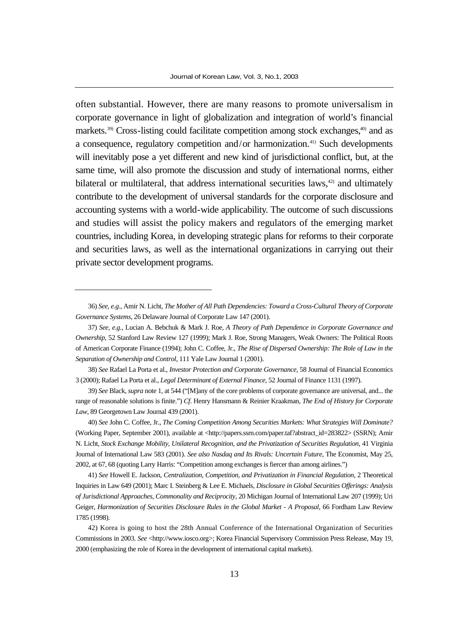often substantial. However, there are many reasons to promote universalism in corporate governance in light of globalization and integration of world's financial markets.<sup>39)</sup> Cross-listing could facilitate competition among stock exchanges,<sup>40</sup> and as a consequence, regulatory competition and/or harmonization.41) Such developments will inevitably pose a yet different and new kind of jurisdictional conflict, but, at the same time, will also promote the discussion and study of international norms, either bilateral or multilateral, that address international securities laws, $42$  and ultimately contribute to the development of universal standards for the corporate disclosure and accounting systems with a world-wide applicability. The outcome of such discussions and studies will assist the policy makers and regulators of the emerging market countries, including Korea, in developing strategic plans for reforms to their corporate and securities laws, as well as the international organizations in carrying out their private sector development programs.

38) *See* Rafael La Porta et al., *Investor Protection and Corporate Governance*, 58 Journal of Financial Economics 3 (2000); Rafael La Porta et al., *Legal Determinant of External Finance*, 52 Journal of Finance 1131 (1997).

39) *See* Black, *supra* note 1, at 544 ("[M]any of the core problems of corporate governance are universal, and... the range of reasonable solutions is finite.") *Cf*. Henry Hansmann & Reinier Kraakman, *The End of History for Corporate Law*, 89 Georgetown Law Journal 439 (2001).

40) *See* John C. Coffee, Jr., *The Coming Competition Among Securities Markets: What Strategies Will Dominate?* (Working Paper, September 2001), available at <http://papers.ssrn.com/paper.taf?abstract\_id=283822> (SSRN); Amir N. Licht, *Stock Exchange Mobility, Unilateral Recognition, and the Privatization of Securities Regulation*, 41 Virginia Journal of International Law 583 (2001). *See also Nasdaq and Its Rivals: Uncertain Future*, The Economist, May 25, 2002, at 67, 68 (quoting Larry Harris: "Competition among exchanges is fiercer than among airlines.")

41) *See* Howell E. Jackson, *Centralization, Competition, and Privatization in Financial Regulation*, 2 Theoretical Inquiries in Law 649 (2001); Marc I. Steinberg & Lee E. Michaels, *Disclosure in Global Securities Offerings: Analysis of Jurisdictional Approaches, Commonality and Reciprocity*, 20 Michigan Journal of International Law 207 (1999); Uri Geiger, *Harmonization of Securities Disclosure Rules in the Global Market - A Proposal*, 66 Fordham Law Review 1785 (1998).

<sup>36)</sup> *See, e.g*., Amir N. Licht, *The Mother of All Path Dependencies: Toward a Cross-Cultural Theory of Corporate Governance Systems*, 26 Delaware Journal of Corporate Law 147 (2001).

<sup>37)</sup> *See, e.g.*, Lucian A. Bebchuk & Mark J. Roe, *A Theory of Path Dependence in Corporate Governance and Ownership*, 52 Stanford Law Review 127 (1999); Mark J. Roe, Strong Managers, Weak Owners: The Political Roots of American Corporate Finance (1994); John C. Coffee, Jr., *The Rise of Dispersed Ownership: The Role of Law in the Separation of Ownership and Control*, 111 Yale Law Journal 1 (2001).

<sup>42)</sup> Korea is going to host the 28th Annual Conference of the International Organization of Securities Commissions in 2003. *See* <http://www.iosco.org>; Korea Financial Supervisory Commission Press Release, May 19, 2000 (emphasizing the role of Korea in the development of international capital markets).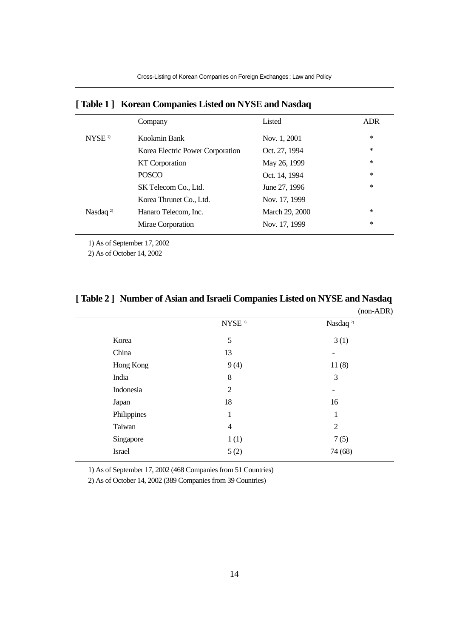|                    | Company                          | Listed         | ADR    |
|--------------------|----------------------------------|----------------|--------|
| NYSE <sup>1)</sup> | Kookmin Bank                     | Nov. 1, 2001   | *      |
|                    | Korea Electric Power Corporation | Oct. 27, 1994  | *      |
|                    | KT Corporation                   | May 26, 1999   | $\ast$ |
|                    | <b>POSCO</b>                     | Oct. 14, 1994  | *      |
|                    | SK Telecom Co., Ltd.             | June 27, 1996  | *      |
|                    | Korea Thrunet Co., Ltd.          | Nov. 17, 1999  |        |
| Nasdaq $^{2}$      | Hanaro Telecom, Inc.             | March 29, 2000 | ∗      |
|                    | Mirae Corporation                | Nov. 17, 1999  | $\ast$ |
|                    |                                  |                |        |

#### **[ Table 1 ] Korean Companies Listed on NYSE and Nasdaq**

1) As of September 17, 2002

2) As of October 14, 2002

|               | $(non-ADR)$        |                          |
|---------------|--------------------|--------------------------|
|               | NYSE <sup>1)</sup> | Nasdaq <sup>2)</sup>     |
| Korea         | 5                  | 3(1)                     |
| China         | 13                 | $\overline{\phantom{a}}$ |
| Hong Kong     | 9(4)               | 11(8)                    |
| India         | 8                  | 3                        |
| Indonesia     | 2                  | $\overline{\phantom{a}}$ |
| Japan         | 18                 | 16                       |
| Philippines   | 1                  | 1                        |
| Taiwan        | $\overline{4}$     | 2                        |
| Singapore     | 1(1)               | 7(5)                     |
| <b>Israel</b> | 5(2)               | 74 (68)                  |
|               |                    |                          |

# **[ Table 2 ] Number of Asian and Israeli Companies Listed on NYSE and Nasdaq**

1) As of September 17, 2002 (468 Companies from 51 Countries)

2) As of October 14, 2002 (389 Companies from 39 Countries)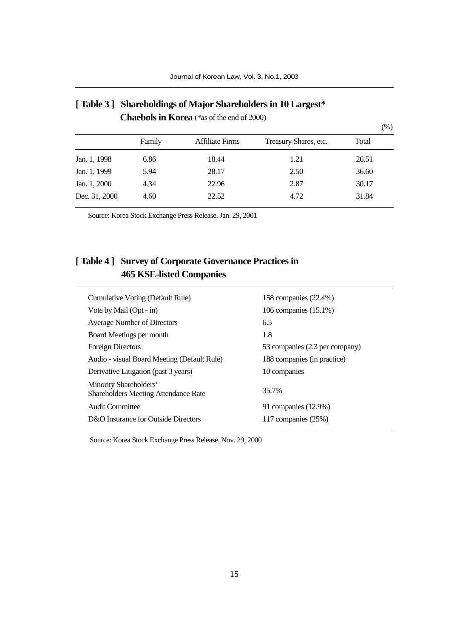|               |        |                 |                       | (%)   |  |
|---------------|--------|-----------------|-----------------------|-------|--|
|               | Family | Affiliate Firms | Treasury Shares, etc. | Total |  |
| Jan. 1, 1998  | 6.86   | 18.44           | 1.21                  | 26.51 |  |
| Jan. 1, 1999  | 5.94   | 28.17           | 2.50                  | 36.60 |  |
| Jan. 1, 2000  | 4.34   | 22.96           | 2.87                  | 30.17 |  |
| Dec. 31, 2000 | 4.60   | 22.52           | 4.72                  | 31.84 |  |

# **[ Table 3 ] Shareholdings of Major Shareholders in 10 Largest\* Chaebols in Korea** (\*as of the end of 2000)

Source: Korea Stock Exchange Press Release, Jan. 29, 2001

# **[ Table 4 ] Survey of Corporate Governance Practices in 465 KSE-listed Companies**

| Cumulative Voting (Default Rule)                                      | 158 companies (22.4%)          |
|-----------------------------------------------------------------------|--------------------------------|
| Vote by Mail (Opt - in)                                               | 106 companies (15.1%)          |
| Average Number of Directors                                           | 6.5                            |
| Board Meetings per month                                              | 1.8                            |
| <b>Foreign Directors</b>                                              | 53 companies (2.3 per company) |
| Audio - visual Board Meeting (Default Rule)                           | 188 companies (in practice)    |
| Derivative Litigation (past 3 years)                                  | 10 companies                   |
| Minority Shareholders'<br><b>Shareholders Meeting Attendance Rate</b> | 35.7%                          |
| Audit Committee                                                       | 91 companies (12.9%)           |
| D&O Insurance for Outside Directors                                   | 117 companies $(25%)$          |

Source: Korea Stock Exchange Press Release, Nov. 29, 2000